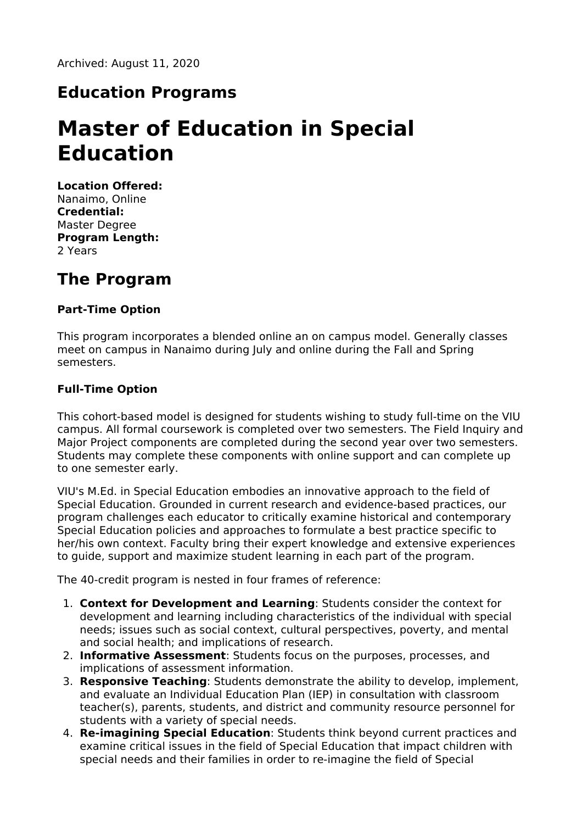# **Education Programs**

# **Master of Education in Special Education**

**Location Offered:** Nanaimo, Online **Credential:** Master Degree **Program Length:** 2 Years

# **The Program**

### **Part-Time Option**

This program incorporates a blended online an on campus model. Generally classes meet on campus in Nanaimo during July and online during the Fall and Spring semesters.

### **Full-Time Option**

This cohort-based model is designed for students wishing to study full-time on the VIU campus. All formal coursework is completed over two semesters. The Field Inquiry and Major Project components are completed during the second year over two semesters. Students may complete these components with online support and can complete up to one semester early.

VIU's M.Ed. in Special Education embodies an innovative approach to the field of Special Education. Grounded in current research and evidence-based practices, our program challenges each educator to critically examine historical and contemporary Special Education policies and approaches to formulate a best practice specific to her/his own context. Faculty bring their expert knowledge and extensive experiences to guide, support and maximize student learning in each part of the program.

The 40-credit program is nested in four frames of reference:

- 1. **Context for Development and Learning**: Students consider the context for development and learning including characteristics of the individual with special needs; issues such as social context, cultural perspectives, poverty, and mental and social health; and implications of research.
- 2. **Informative Assessment**: Students focus on the purposes, processes, and implications of assessment information.
- 3. **Responsive Teaching**: Students demonstrate the ability to develop, implement, and evaluate an Individual Education Plan (IEP) in consultation with classroom teacher(s), parents, students, and district and community resource personnel for students with a variety of special needs.
- 4. **Re-imagining Special Education**: Students think beyond current practices and examine critical issues in the field of Special Education that impact children with special needs and their families in order to re-imagine the field of Special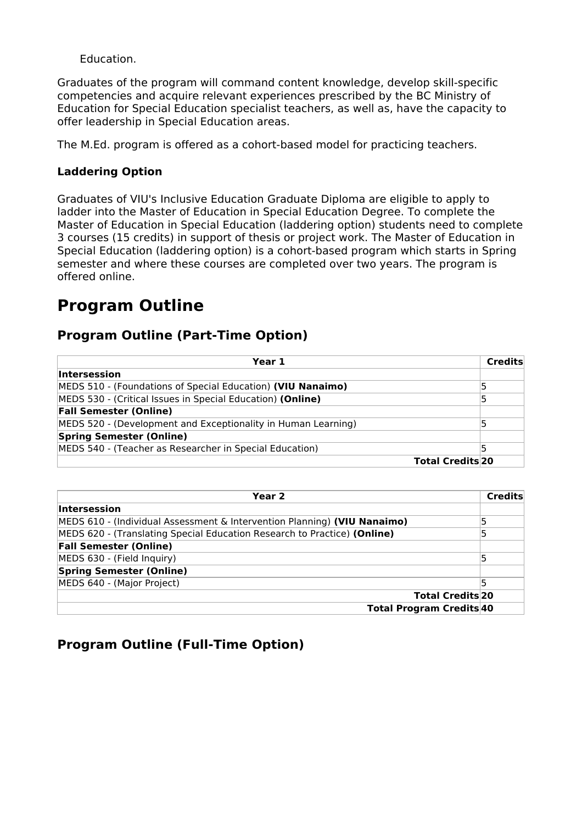Education.

Graduates of the program will command content knowledge, develop skill-specific competencies and acquire relevant experiences prescribed by the BC Ministry of Education for Special Education specialist teachers, as well as, have the capacity to offer leadership in Special Education areas.

The M.Ed. program is offered as a cohort-based model for practicing teachers.

#### **Laddering Option**

Graduates of VIU's Inclusive Education Graduate Diploma are eligible to apply to ladder into the Master of Education in Special Education Degree. To complete the Master of Education in Special Education (laddering option) students need to complete 3 courses (15 credits) in support of thesis or project work. The Master of Education in Special Education (laddering option) is a cohort-based program which starts in Spring semester and where these courses are completed over two years. The program is offered online.

# **Program Outline**

### **Program Outline (Part-Time Option)**

| Year 1                                                        |                         | <b>Credits</b> |
|---------------------------------------------------------------|-------------------------|----------------|
| Intersession                                                  |                         |                |
| MEDS 510 - (Foundations of Special Education) (VIU Nanaimo)   |                         |                |
| MEDS 530 - (Critical Issues in Special Education) (Online)    |                         |                |
| <b>Fall Semester (Online)</b>                                 |                         |                |
| MEDS 520 - (Development and Exceptionality in Human Learning) |                         |                |
| <b>Spring Semester (Online)</b>                               |                         |                |
| MEDS 540 - (Teacher as Researcher in Special Education)       |                         |                |
|                                                               | <b>Total Credits 20</b> |                |

| Year 2                                                                   | Credits |
|--------------------------------------------------------------------------|---------|
| <b>Intersession</b>                                                      |         |
| MEDS 610 - (Individual Assessment & Intervention Planning) (VIU Nanaimo) |         |
| MEDS 620 - (Translating Special Education Research to Practice) (Online) | 5       |
| <b>Fall Semester (Online)</b>                                            |         |
| MEDS 630 - (Field Inquiry)                                               | 15      |
| <b>Spring Semester (Online)</b>                                          |         |
| MEDS 640 - (Major Project)                                               |         |
| <b>Total Credits 20</b>                                                  |         |
| <b>Total Program Credits 40</b>                                          |         |

### **Program Outline (Full-Time Option)**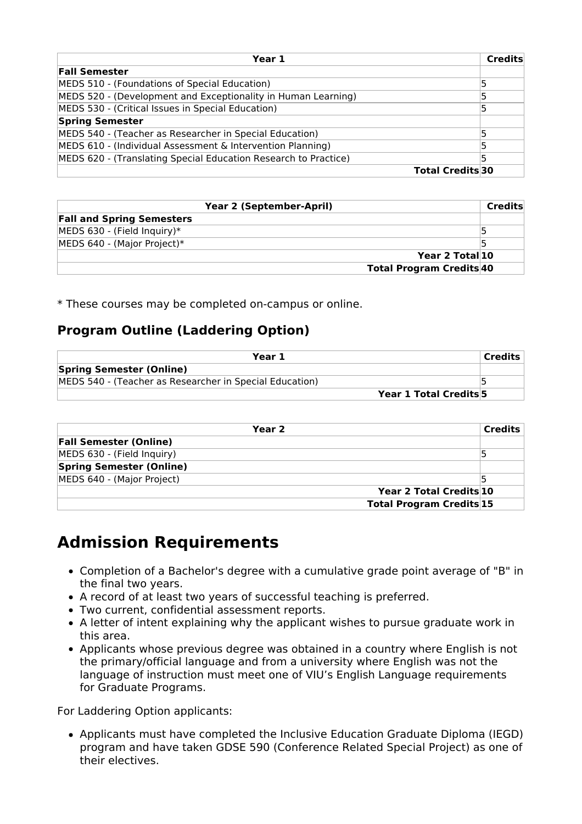| Year 1                                                          |                        | Credits |
|-----------------------------------------------------------------|------------------------|---------|
| <b>Fall Semester</b>                                            |                        |         |
| MEDS 510 - (Foundations of Special Education)                   |                        |         |
| MEDS 520 - (Development and Exceptionality in Human Learning)   |                        |         |
| MEDS 530 - (Critical Issues in Special Education)               |                        |         |
| <b>Spring Semester</b>                                          |                        |         |
| MEDS 540 - (Teacher as Researcher in Special Education)         |                        |         |
| MEDS 610 - (Individual Assessment & Intervention Planning)      |                        |         |
| MEDS 620 - (Translating Special Education Research to Practice) |                        |         |
|                                                                 | <b>Total Credits30</b> |         |

| <b>Year 2 (September-April)</b>  | Credits |
|----------------------------------|---------|
| <b>Fall and Spring Semesters</b> |         |
| MEDS 630 - (Field Inquiry)*      |         |
| MEDS 640 - (Major Project)*      |         |
| Year 2 Total 10                  |         |
| <b>Total Program Credits 40</b>  |         |

\* These courses may be completed on-campus or online.

### **Program Outline (Laddering Option)**

| Year 1                                                  |                        | Credits |
|---------------------------------------------------------|------------------------|---------|
| <b>Spring Semester (Online)</b>                         |                        |         |
| MEDS 540 - (Teacher as Researcher in Special Education) |                        |         |
|                                                         | Year 1 Total Credits 5 |         |

| Year 2                          |                                 | <b>Credits</b> |
|---------------------------------|---------------------------------|----------------|
| <b>Fall Semester (Online)</b>   |                                 |                |
| MEDS 630 - (Field Inquiry)      |                                 |                |
| <b>Spring Semester (Online)</b> |                                 |                |
| MEDS 640 - (Major Project)      |                                 |                |
|                                 | Year 2 Total Credits 10         |                |
|                                 | <b>Total Program Credits 15</b> |                |

## **Admission Requirements**

- Completion of a Bachelor's degree with a cumulative grade point average of "B" in the final two years.
- A record of at least two years of successful teaching is preferred.
- Two current, confidential assessment reports.
- A letter of intent explaining why the applicant wishes to pursue graduate work in this area.
- Applicants whose previous degree was obtained in a country where English is not the primary/official language and from a university where English was not the language of instruction must meet one of VIU's English Language requirements for Graduate Programs.

For Laddering Option applicants:

Applicants must have completed the Inclusive Education Graduate Diploma (IEGD) program and have taken GDSE 590 (Conference Related Special Project) as one of their electives.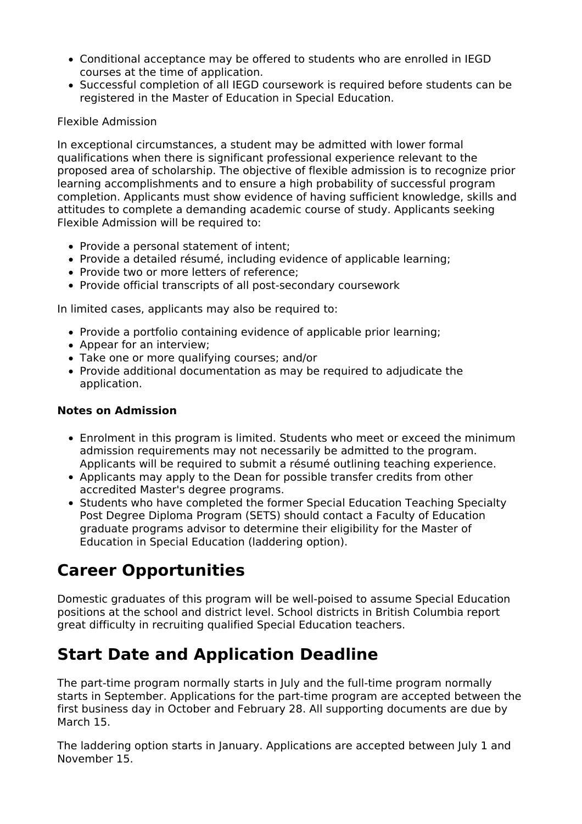- Conditional acceptance may be offered to students who are enrolled in IEGD courses at the time of application.
- Successful completion of all IEGD coursework is required before students can be registered in the Master of Education in Special Education.

#### Flexible Admission

In exceptional circumstances, a student may be admitted with lower formal qualifications when there is significant professional experience relevant to the proposed area of scholarship. The objective of flexible admission is to recognize prior learning accomplishments and to ensure a high probability of successful program completion. Applicants must show evidence of having sufficient knowledge, skills and attitudes to complete a demanding academic course of study. Applicants seeking Flexible Admission will be required to:

- Provide a personal statement of intent;
- Provide a detailed résumé, including evidence of applicable learning;
- Provide two or more letters of reference;
- Provide official transcripts of all post-secondary coursework

In limited cases, applicants may also be required to:

- Provide a portfolio containing evidence of applicable prior learning;
- Appear for an interview;
- Take one or more qualifying courses; and/or
- Provide additional documentation as may be required to adjudicate the application.

#### **Notes on Admission**

- Enrolment in this program is limited. Students who meet or exceed the minimum admission requirements may not necessarily be admitted to the program. Applicants will be required to submit a résumé outlining teaching experience.
- Applicants may apply to the Dean for possible transfer credits from other accredited Master's degree programs.
- Students who have completed the former Special Education Teaching Specialty Post Degree Diploma Program (SETS) should contact a Faculty of Education graduate programs advisor to determine their eligibility for the Master of Education in Special Education (laddering option).

# **Career Opportunities**

Domestic graduates of this program will be well-poised to assume Special Education positions at the school and district level. School districts in British Columbia report great difficulty in recruiting qualified Special Education teachers.

## **Start Date and Application Deadline**

The part-time program normally starts in July and the full-time program normally starts in September. Applications for the part-time program are accepted between the first business day in October and February 28. All supporting documents are due by March 15.

The laddering option starts in January. Applications are accepted between July 1 and November 15.